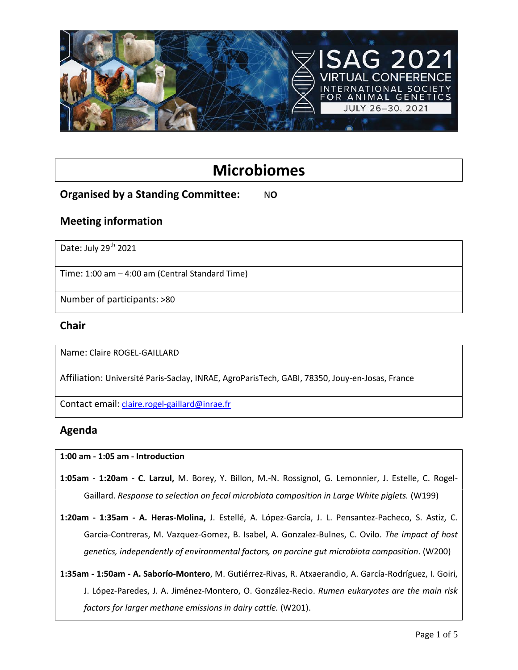

# **Microbiomes**

# **Organised by a Standing Committee:** NO

### **Meeting information**

Date: July 29<sup>th</sup> 2021

Time: 1:00 am – 4:00 am (Central Standard Time)

Number of participants: >80

#### **Chair**

Name: Claire ROGEL-GAILLARD

Affiliation: Université Paris-Saclay, INRAE, AgroParisTech, GABI, 78350, Jouy-en-Josas, France

Contact email: [claire.rogel-gaillard@inrae.fr](mailto:claire.rogel-gaillard@inrae.fr)

# **Agenda**

**1:00 am - 1:05 am - Introduction**

**1:05am - 1:20am - C. Larzul,** M. Borey, Y. Billon, M.-N. Rossignol, G. Lemonnier, J. Estelle, C. Rogel-Gaillard. *Response to selection on fecal microbiota composition in Large White piglets.* (W199)

**1:20am - 1:35am - A. Heras-Molina,** J. Estellé, A. López-García, J. L. Pensantez-Pacheco, S. Astiz, C. Garcia-Contreras, M. Vazquez-Gomez, B. Isabel, A. Gonzalez-Bulnes, C. Ovilo. *The impact of host genetics, independently of environmental factors, on porcine gut microbiota composition*. (W200)

**1:35am - 1:50am - A. Saborío-Montero**, M. Gutiérrez-Rivas, R. Atxaerandio, A. García-Rodríguez, I. Goiri, J. López-Paredes, J. A. Jiménez-Montero, O. González-Recio. *Rumen eukaryotes are the main risk factors for larger methane emissions in dairy cattle.* (W201).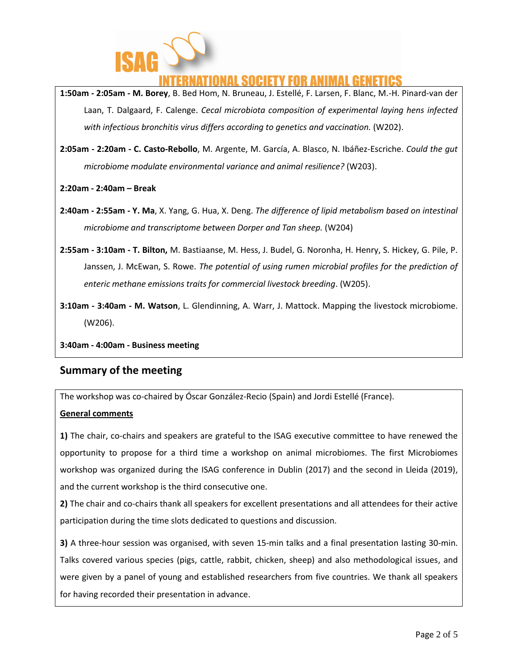

# ATIONAL SOCIETY FOR ANIMAL GENETICS

**1:50am - 2:05am - M. Borey**, B. Bed Hom, N. Bruneau, J. Estellé, F. Larsen, F. Blanc, M.-H. Pinard-van der Laan, T. Dalgaard, F. Calenge. *Cecal microbiota composition of experimental laying hens infected with infectious bronchitis virus differs according to genetics and vaccination.* (W202).

**2:05am - 2:20am - C. Casto-Rebollo**, M. Argente, M. García, A. Blasco, N. Ibáñez-Escriche. *Could the gut microbiome modulate environmental variance and animal resilience?* (W203).

**2:20am - 2:40am – Break**

- **2:40am - 2:55am - Y. Ma**, X. Yang, G. Hua, X. Deng. *The difference of lipid metabolism based on intestinal microbiome and transcriptome between Dorper and Tan sheep.* (W204)
- **2:55am - 3:10am - T. Bilton,** M. Bastiaanse, M. Hess, J. Budel, G. Noronha, H. Henry, S. Hickey, G. Pile, P. Janssen, J. McEwan, S. Rowe. *The potential of using rumen microbial profiles for the prediction of enteric methane emissions traits for commercial livestock breeding*. (W205).
- **3:10am - 3:40am - M. Watson**, L. Glendinning, A. Warr, J. Mattock. Mapping the livestock microbiome. (W206).

**3:40am - 4:00am - Business meeting**

#### **Summary of the meeting**

The workshop was co-chaired by Óscar González-Recio (Spain) and Jordi Estellé (France).

#### **General comments**

**1)** The chair, co-chairs and speakers are grateful to the ISAG executive committee to have renewed the opportunity to propose for a third time a workshop on animal microbiomes. The first Microbiomes workshop was organized during the ISAG conference in Dublin (2017) and the second in Lleida (2019), and the current workshop is the third consecutive one.

**2)** The chair and co-chairs thank all speakers for excellent presentations and all attendees for their active participation during the time slots dedicated to questions and discussion.

**3)** A three-hour session was organised, with seven 15-min talks and a final presentation lasting 30-min. Talks covered various species (pigs, cattle, rabbit, chicken, sheep) and also methodological issues, and were given by a panel of young and established researchers from five countries. We thank all speakers for having recorded their presentation in advance.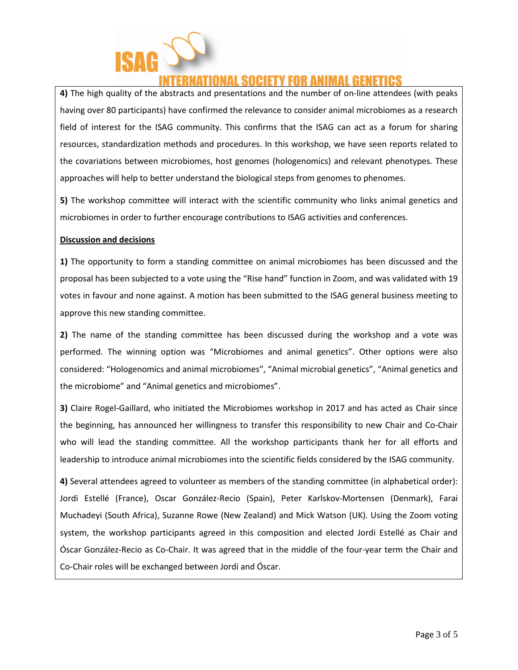

# ATIONAL SOCIETY FOR ANIMAL GEN

**4)** The high quality of the abstracts and presentations and the number of on-line attendees (with peaks having over 80 participants) have confirmed the relevance to consider animal microbiomes as a research field of interest for the ISAG community. This confirms that the ISAG can act as a forum for sharing resources, standardization methods and procedures. In this workshop, we have seen reports related to the covariations between microbiomes, host genomes (hologenomics) and relevant phenotypes. These approaches will help to better understand the biological steps from genomes to phenomes.

**5)** The workshop committee will interact with the scientific community who links animal genetics and microbiomes in order to further encourage contributions to ISAG activities and conferences.

#### **Discussion and decisions**

**1)** The opportunity to form a standing committee on animal microbiomes has been discussed and the proposal has been subjected to a vote using the "Rise hand" function in Zoom, and was validated with 19 votes in favour and none against. A motion has been submitted to the ISAG general business meeting to approve this new standing committee.

**2)** The name of the standing committee has been discussed during the workshop and a vote was performed. The winning option was "Microbiomes and animal genetics". Other options were also considered: "Hologenomics and animal microbiomes", "Animal microbial genetics", "Animal genetics and the microbiome" and "Animal genetics and microbiomes".

**3)** Claire Rogel-Gaillard, who initiated the Microbiomes workshop in 2017 and has acted as Chair since the beginning, has announced her willingness to transfer this responsibility to new Chair and Co-Chair who will lead the standing committee. All the workshop participants thank her for all efforts and leadership to introduce animal microbiomes into the scientific fields considered by the ISAG community.

**4)** Several attendees agreed to volunteer as members of the standing committee (in alphabetical order): Jordi Estellé (France), Oscar González-Recio (Spain), Peter Karlskov-Mortensen (Denmark), Farai Muchadeyi (South Africa), Suzanne Rowe (New Zealand) and Mick Watson (UK). Using the Zoom voting system, the workshop participants agreed in this composition and elected Jordi Estellé as Chair and Óscar González-Recio as Co-Chair. It was agreed that in the middle of the four-year term the Chair and Co-Chair roles will be exchanged between Jordi and Óscar.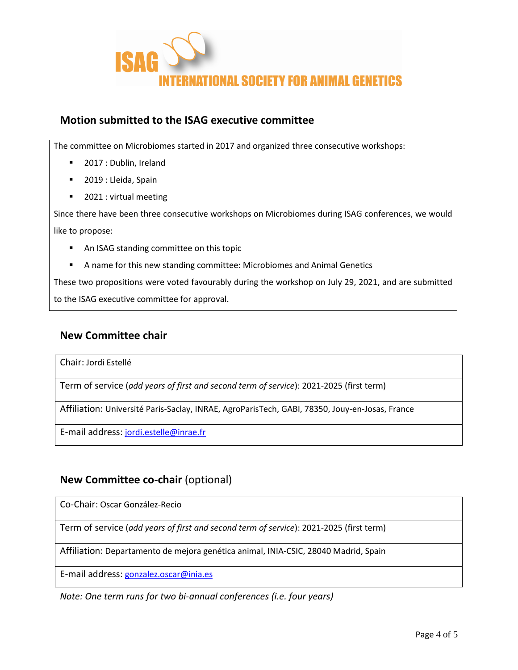

# **Motion submitted to the ISAG executive committee**

The committee on Microbiomes started in 2017 and organized three consecutive workshops:

- **2017 : Dublin, Ireland**
- 2019 : Lleida, Spain
- 2021 : virtual meeting

Since there have been three consecutive workshops on Microbiomes during ISAG conferences, we would like to propose:

- **An ISAG standing committee on this topic**
- A name for this new standing committee: Microbiomes and Animal Genetics

These two propositions were voted favourably during the workshop on July 29, 2021, and are submitted to the ISAG executive committee for approval.

### **New Committee chair**

Chair: Jordi Estellé

Term of service (*add years of first and second term of service*): 2021-2025 (first term)

Affiliation: Université Paris-Saclay, INRAE, AgroParisTech, GABI, 78350, Jouy-en-Josas, France

E-mail address: [jordi.estelle@inrae.fr](mailto:jordi.estelle@inrae.fr)

# **New Committee co-chair** (optional)

Co-Chair: Oscar González-Recio

Term of service (*add years of first and second term of service*): 2021-2025 (first term)

Affiliation: Departamento de mejora genética animal, INIA-CSIC, 28040 Madrid, Spain

E-mail address: [gonzalez.oscar@inia.es](mailto:gonzalez.oscar@inia.es)

*Note: One term runs for two bi-annual conferences (i.e. four years)*